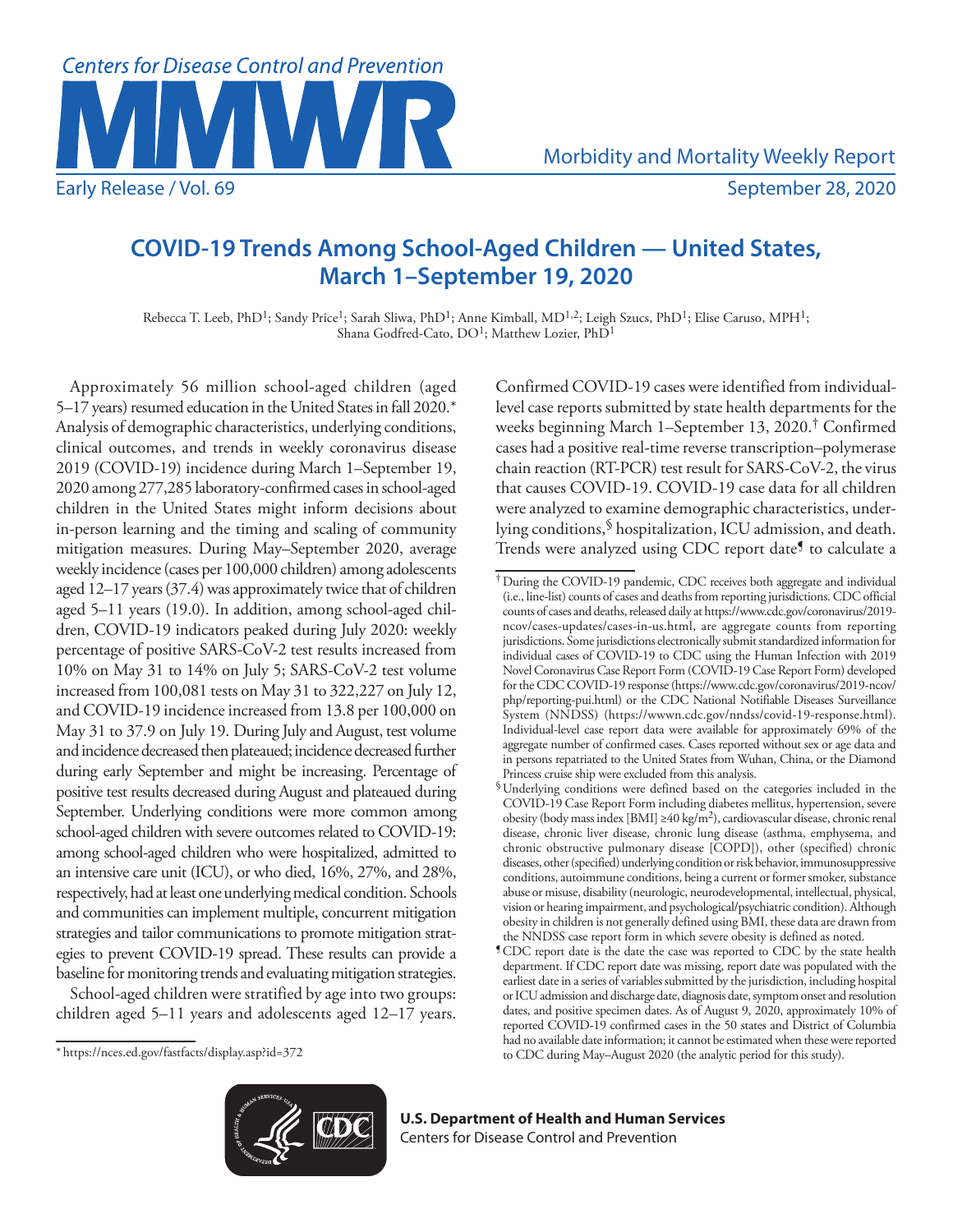

# **COVID-19 Trends Among School-Aged Children — United States, March 1–September 19, 2020**

Rebecca T. Leeb, PhD<sup>1</sup>; Sandy Price<sup>1</sup>; Sarah Sliwa, PhD<sup>1</sup>; Anne Kimball, MD<sup>1,2</sup>; Leigh Szucs, PhD<sup>1</sup>; Elise Caruso, MPH<sup>1</sup>; Shana Godfred-Cato, DO<sup>1</sup>; Matthew Lozier, PhD<sup>1</sup>

Approximately 56 million school-aged children (aged 5–17 years) resumed education in the United States in fall 2020.\* Analysis of demographic characteristics, underlying conditions, clinical outcomes, and trends in weekly coronavirus disease 2019 (COVID-19) incidence during March 1–September 19, 2020 among 277,285 laboratory-confirmed cases in school-aged children in the United States might inform decisions about in-person learning and the timing and scaling of community mitigation measures. During May–September 2020, average weekly incidence (cases per 100,000 children) among adolescents aged 12–17 years (37.4) was approximately twice that of children aged 5–11 years (19.0). In addition, among school-aged children, COVID-19 indicators peaked during July 2020: weekly percentage of positive SARS-CoV-2 test results increased from 10% on May 31 to 14% on July 5; SARS-CoV-2 test volume increased from 100,081 tests on May 31 to 322,227 on July 12, and COVID-19 incidence increased from 13.8 per 100,000 on May 31 to 37.9 on July 19. During July and August, test volume and incidence decreased then plateaued; incidence decreased further during early September and might be increasing. Percentage of positive test results decreased during August and plateaued during September. Underlying conditions were more common among school-aged children with severe outcomes related to COVID-19: among school-aged children who were hospitalized, admitted to an intensive care unit (ICU), or who died, 16%, 27%, and 28%, respectively, had at least one underlying medical condition. Schools and communities can implement multiple, concurrent mitigation strategies and tailor communications to promote mitigation strategies to prevent COVID-19 spread. These results can provide a baseline for monitoring trends and evaluating mitigation strategies.

School-aged children were stratified by age into two groups: children aged 5–11 years and adolescents aged 12–17 years.

\* <https://nces.ed.gov/fastfacts/display.asp?id=372>

Confirmed COVID-19 cases were identified from individuallevel case reports submitted by state health departments for the weeks beginning March 1–September 13, 2020.† Confirmed cases had a positive real-time reverse transcription–polymerase chain reaction (RT-PCR) test result for SARS-CoV-2, the virus that causes COVID-19. COVID-19 case data for all children were analyzed to examine demographic characteristics, underlying conditions,§ hospitalization, ICU admission, and death. Trends were analyzed using CDC report date<sup>5</sup> to calculate a



**U.S. Department of Health and Human Services** Centers for Disease Control and Prevention

<sup>†</sup>During the COVID-19 pandemic, CDC receives both aggregate and individual (i.e., line-list) counts of cases and deaths from reporting jurisdictions. CDC official counts of cases and deaths, released daily at [https://www.cdc.gov/coronavirus/2019](https://www.cdc.gov/coronavirus/2019-ncov/cases-updates/cases-in-us.html) [ncov/cases-updates/cases-in-us.html](https://www.cdc.gov/coronavirus/2019-ncov/cases-updates/cases-in-us.html), are aggregate counts from reporting jurisdictions. Some jurisdictions electronically submit standardized information for individual cases of COVID-19 to CDC using the Human Infection with 2019 Novel Coronavirus Case Report Form (COVID-19 Case Report Form) developed for the CDC COVID-19 response [\(https://www.cdc.gov/coronavirus/2019-ncov/](https://www.cdc.gov/coronavirus/2019-ncov/php/reporting-pui.html) [php/reporting-pui.html](https://www.cdc.gov/coronavirus/2019-ncov/php/reporting-pui.html)) or the CDC National Notifiable Diseases Surveillance System (NNDSS) (<https://wwwn.cdc.gov/nndss/covid-19-response.html>). Individual-level case report data were available for approximately 69% of the aggregate number of confirmed cases. Cases reported without sex or age data and in persons repatriated to the United States from Wuhan, China, or the Diamond Princess cruise ship were excluded from this analysis.

<sup>§</sup>Underlying conditions were defined based on the categories included in the COVID-19 Case Report Form including diabetes mellitus, hypertension, severe obesity (body mass index [BMI] ≥40 kg/m2), cardiovascular disease, chronic renal disease, chronic liver disease, chronic lung disease (asthma, emphysema, and chronic obstructive pulmonary disease [COPD]), other (specified) chronic diseases, other (specified) underlying condition or risk behavior, immunosuppressive conditions, autoimmune conditions, being a current or former smoker, substance abuse or misuse, disability (neurologic, neurodevelopmental, intellectual, physical, vision or hearing impairment, and psychological/psychiatric condition). Although obesity in children is not generally defined using BMI, these data are drawn from the NNDSS case report form in which severe obesity is defined as noted.

<sup>¶</sup>CDC report date is the date the case was reported to CDC by the state health department. If CDC report date was missing, report date was populated with the earliest date in a series of variables submitted by the jurisdiction, including hospital or ICU admission and discharge date, diagnosis date, symptom onset and resolution dates, and positive specimen dates. As of August 9, 2020, approximately 10% of reported COVID-19 confirmed cases in the 50 states and District of Columbia had no available date information; it cannot be estimated when these were reported to CDC during May–August 2020 (the analytic period for this study).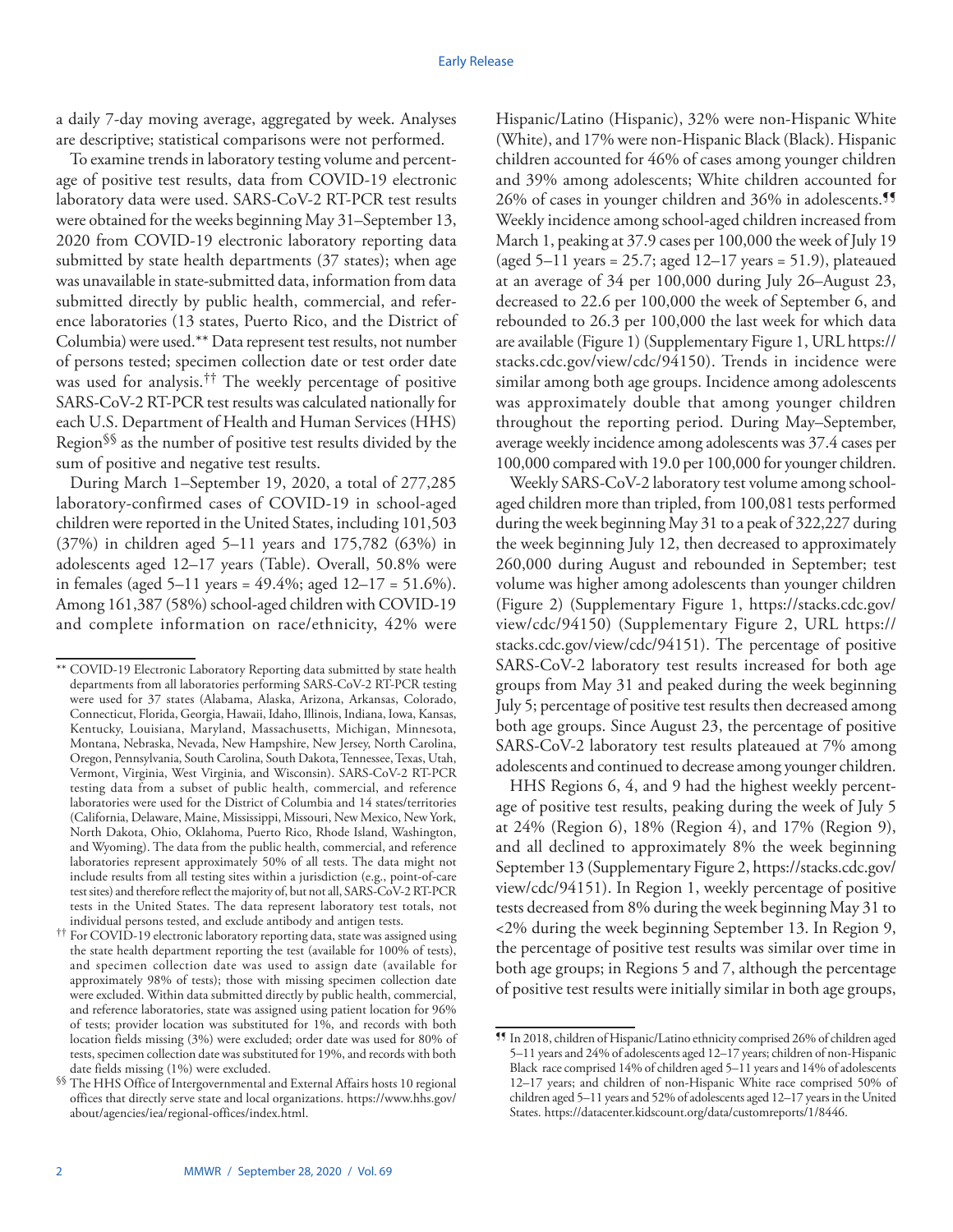a daily 7-day moving average, aggregated by week. Analyses are descriptive; statistical comparisons were not performed.

To examine trends in laboratory testing volume and percentage of positive test results, data from COVID-19 electronic laboratory data were used. SARS-CoV-2 RT-PCR test results were obtained for the weeks beginning May 31–September 13, 2020 from COVID-19 electronic laboratory reporting data submitted by state health departments (37 states); when age was unavailable in state-submitted data, information from data submitted directly by public health, commercial, and reference laboratories (13 states, Puerto Rico, and the District of Columbia) were used.\*\* Data represent test results, not number of persons tested; specimen collection date or test order date was used for analysis.<sup>††</sup> The weekly percentage of positive SARS-CoV-2 RT-PCR test results was calculated nationally for each U.S. Department of Health and Human Services (HHS) Region§§ as the number of positive test results divided by the sum of positive and negative test results.

During March 1–September 19, 2020, a total of 277,285 laboratory-confirmed cases of COVID-19 in school-aged children were reported in the United States, including 101,503 (37%) in children aged 5–11 years and 175,782 (63%) in adolescents aged 12–17 years (Table). Overall, 50.8% were in females (aged  $5-11$  years = 49.4%; aged  $12-17 = 51.6\%$ ). Among 161,387 (58%) school-aged children with COVID-19 and complete information on race/ethnicity, 42% were Hispanic/Latino (Hispanic), 32% were non-Hispanic White (White), and 17% were non-Hispanic Black (Black). Hispanic children accounted for 46% of cases among younger children and 39% among adolescents; White children accounted for 26% of cases in younger children and 36% in adolescents.<sup>11</sup> Weekly incidence among school-aged children increased from March 1, peaking at 37.9 cases per 100,000 the week of July 19 (aged  $5-11$  years = 25.7; aged  $12-17$  years = 51.9), plateaued at an average of 34 per 100,000 during July 26–August 23, decreased to 22.6 per 100,000 the week of September 6, and rebounded to 26.3 per 100,000 the last week for which data are available (Figure 1) (Supplementary Figure 1, URL [https://](https://stacks.cdc.gov/view/cdc/94150) [stacks.cdc.gov/view/cdc/94150](https://stacks.cdc.gov/view/cdc/94150)). Trends in incidence were similar among both age groups. Incidence among adolescents was approximately double that among younger children throughout the reporting period. During May–September, average weekly incidence among adolescents was 37.4 cases per 100,000 compared with 19.0 per 100,000 for younger children.

Weekly SARS-CoV-2 laboratory test volume among schoolaged children more than tripled, from 100,081 tests performed during the week beginning May 31 to a peak of 322,227 during the week beginning July 12, then decreased to approximately 260,000 during August and rebounded in September; test volume was higher among adolescents than younger children (Figure 2) (Supplementary Figure 1, [https://stacks.cdc.gov/](https://stacks.cdc.gov/view/cdc/94150) [view/cdc/94150](https://stacks.cdc.gov/view/cdc/94150)) (Supplementary Figure 2, URL [https://](https://stacks.cdc.gov/view/cdc/94151) [stacks.cdc.gov/view/cdc/94151](https://stacks.cdc.gov/view/cdc/94151)). The percentage of positive SARS-CoV-2 laboratory test results increased for both age groups from May 31 and peaked during the week beginning July 5; percentage of positive test results then decreased among both age groups. Since August 23, the percentage of positive SARS-CoV-2 laboratory test results plateaued at 7% among adolescents and continued to decrease among younger children.

HHS Regions 6, 4, and 9 had the highest weekly percentage of positive test results, peaking during the week of July 5 at 24% (Region 6), 18% (Region 4), and 17% (Region 9), and all declined to approximately 8% the week beginning September 13 (Supplementary Figure 2, [https://stacks.cdc.gov/](https://stacks.cdc.gov/view/cdc/94151) [view/cdc/94151\)](https://stacks.cdc.gov/view/cdc/94151). In Region 1, weekly percentage of positive tests decreased from 8% during the week beginning May 31 to <2% during the week beginning September 13. In Region 9, the percentage of positive test results was similar over time in both age groups; in Regions 5 and 7, although the percentage of positive test results were initially similar in both age groups,

<sup>\*\*</sup> COVID-19 Electronic Laboratory Reporting data submitted by state health departments from all laboratories performing SARS-CoV-2 RT-PCR testing were used for 37 states (Alabama, Alaska, Arizona, Arkansas, Colorado, Connecticut, Florida, Georgia, Hawaii, Idaho, Illinois, Indiana, Iowa, Kansas, Kentucky, Louisiana, Maryland, Massachusetts, Michigan, Minnesota, Montana, Nebraska, Nevada, New Hampshire, New Jersey, North Carolina, Oregon, Pennsylvania, South Carolina, South Dakota, Tennessee, Texas, Utah, Vermont, Virginia, West Virginia, and Wisconsin). SARS-CoV-2 RT-PCR testing data from a subset of public health, commercial, and reference laboratories were used for the District of Columbia and 14 states/territories (California, Delaware, Maine, Mississippi, Missouri, New Mexico, New York, North Dakota, Ohio, Oklahoma, Puerto Rico, Rhode Island, Washington, and Wyoming). The data from the public health, commercial, and reference laboratories represent approximately 50% of all tests. The data might not include results from all testing sites within a jurisdiction (e.g., point-of-care test sites) and therefore reflect the majority of, but not all, SARS-CoV-2 RT-PCR tests in the United States. The data represent laboratory test totals, not individual persons tested, and exclude antibody and antigen tests.

<sup>††</sup> For COVID-19 electronic laboratory reporting data, state was assigned using the state health department reporting the test (available for 100% of tests), and specimen collection date was used to assign date (available for approximately 98% of tests); those with missing specimen collection date were excluded. Within data submitted directly by public health, commercial, and reference laboratories, state was assigned using patient location for 96% of tests; provider location was substituted for 1%, and records with both location fields missing (3%) were excluded; order date was used for 80% of tests, specimen collection date was substituted for 19%, and records with both date fields missing (1%) were excluded.

<sup>§§</sup> The HHS Office of Intergovernmental and External Affairs hosts 10 regional offices that directly serve state and local organizations. [https://www.hhs.gov/](https://www.hhs.gov/about/agencies/iea/regional-offices/index.html) [about/agencies/iea/regional-offices/index.html](https://www.hhs.gov/about/agencies/iea/regional-offices/index.html).

<sup>¶¶</sup> In 2018, children of Hispanic/Latino ethnicity comprised 26% of children aged 5–11 years and 24% of adolescents aged 12–17 years; children of non-Hispanic Black race comprised 14% of children aged 5–11 years and 14% of adolescents 12–17 years; and children of non-Hispanic White race comprised 50% of children aged 5–11 years and 52% of adolescents aged 12–17 years in the United States. https://datacenter.kidscount.org/data/customreports/1/8446.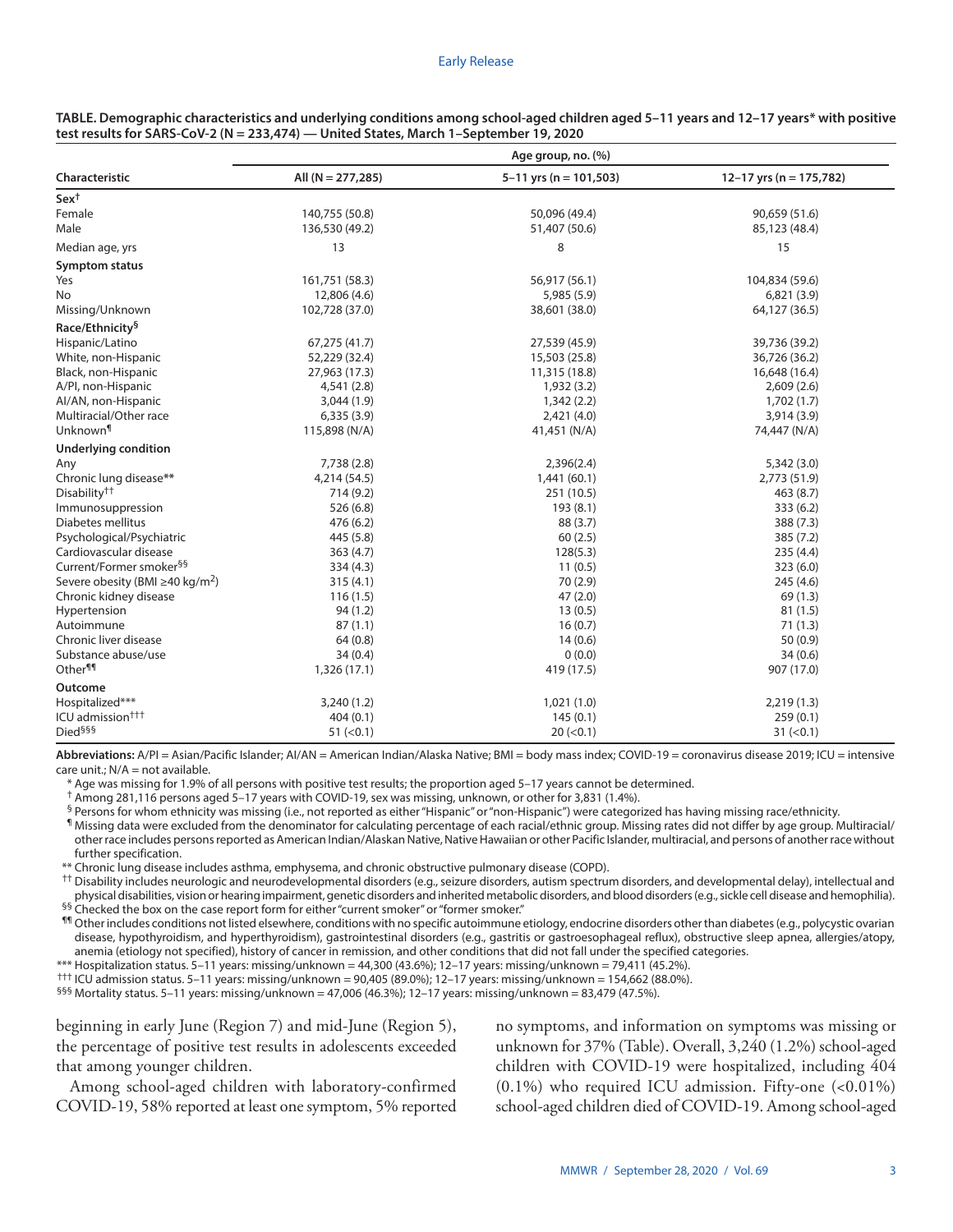| Characteristic<br>All $(N = 277, 285)$<br>$5 - 11$ yrs (n = 101,503)<br>12-17 yrs (n = 175,782)<br>$Sex^{\dagger}$<br>Female<br>140,755 (50.8)<br>50,096 (49.4)<br>90,659 (51.6)<br>Male<br>136,530 (49.2)<br>51,407 (50.6)<br>85,123 (48.4)<br>13<br>8<br>15<br>Median age, yrs<br><b>Symptom status</b><br>Yes<br>161,751 (58.3)<br>56,917 (56.1)<br>104,834 (59.6)<br>No<br>12,806 (4.6)<br>5,985 (5.9)<br>6,821(3.9)<br>Missing/Unknown<br>102,728 (37.0)<br>64,127 (36.5)<br>38,601 (38.0)<br>Race/Ethnicity§<br>Hispanic/Latino<br>67,275 (41.7)<br>27,539 (45.9)<br>39,736 (39.2)<br>White, non-Hispanic<br>52,229 (32.4)<br>15,503 (25.8)<br>36,726 (36.2)<br>Black, non-Hispanic<br>27,963 (17.3)<br>11,315 (18.8)<br>16,648 (16.4)<br>A/PI, non-Hispanic<br>4,541(2.8)<br>1,932 (3.2)<br>2,609(2.6)<br>Al/AN, non-Hispanic<br>3,044(1.9)<br>1,702(1.7)<br>1,342(2.2)<br>Multiracial/Other race<br>6,335(3.9)<br>2,421 (4.0)<br>3,914(3.9)<br>Unknown¶<br>115,898 (N/A)<br>41,451 (N/A)<br>74,447 (N/A)<br><b>Underlying condition</b><br>Any<br>7,738 (2.8)<br>2,396(2.4)<br>5,342(3.0)<br>Chronic lung disease**<br>4,214 (54.5)<br>2,773 (51.9)<br>1,441(60.1)<br>Disability <sup>††</sup><br>714 (9.2)<br>251 (10.5)<br>463 (8.7)<br>Immunosuppression<br>526 (6.8)<br>193(8.1)<br>333 (6.2)<br>Diabetes mellitus<br>476 (6.2)<br>88 (3.7)<br>388 (7.3)<br>Psychological/Psychiatric<br>445 (5.8)<br>60(2.5)<br>385 (7.2)<br>Cardiovascular disease<br>363(4.7)<br>128(5.3)<br>235(4.4)<br>Current/Former smoker <sup>§§</sup><br>334(4.3)<br>11(0.5)<br>323 (6.0) |  |
|---------------------------------------------------------------------------------------------------------------------------------------------------------------------------------------------------------------------------------------------------------------------------------------------------------------------------------------------------------------------------------------------------------------------------------------------------------------------------------------------------------------------------------------------------------------------------------------------------------------------------------------------------------------------------------------------------------------------------------------------------------------------------------------------------------------------------------------------------------------------------------------------------------------------------------------------------------------------------------------------------------------------------------------------------------------------------------------------------------------------------------------------------------------------------------------------------------------------------------------------------------------------------------------------------------------------------------------------------------------------------------------------------------------------------------------------------------------------------------------------------------------------------------------------------------------------------------|--|
|                                                                                                                                                                                                                                                                                                                                                                                                                                                                                                                                                                                                                                                                                                                                                                                                                                                                                                                                                                                                                                                                                                                                                                                                                                                                                                                                                                                                                                                                                                                                                                                 |  |
|                                                                                                                                                                                                                                                                                                                                                                                                                                                                                                                                                                                                                                                                                                                                                                                                                                                                                                                                                                                                                                                                                                                                                                                                                                                                                                                                                                                                                                                                                                                                                                                 |  |
|                                                                                                                                                                                                                                                                                                                                                                                                                                                                                                                                                                                                                                                                                                                                                                                                                                                                                                                                                                                                                                                                                                                                                                                                                                                                                                                                                                                                                                                                                                                                                                                 |  |
|                                                                                                                                                                                                                                                                                                                                                                                                                                                                                                                                                                                                                                                                                                                                                                                                                                                                                                                                                                                                                                                                                                                                                                                                                                                                                                                                                                                                                                                                                                                                                                                 |  |
|                                                                                                                                                                                                                                                                                                                                                                                                                                                                                                                                                                                                                                                                                                                                                                                                                                                                                                                                                                                                                                                                                                                                                                                                                                                                                                                                                                                                                                                                                                                                                                                 |  |
|                                                                                                                                                                                                                                                                                                                                                                                                                                                                                                                                                                                                                                                                                                                                                                                                                                                                                                                                                                                                                                                                                                                                                                                                                                                                                                                                                                                                                                                                                                                                                                                 |  |
|                                                                                                                                                                                                                                                                                                                                                                                                                                                                                                                                                                                                                                                                                                                                                                                                                                                                                                                                                                                                                                                                                                                                                                                                                                                                                                                                                                                                                                                                                                                                                                                 |  |
|                                                                                                                                                                                                                                                                                                                                                                                                                                                                                                                                                                                                                                                                                                                                                                                                                                                                                                                                                                                                                                                                                                                                                                                                                                                                                                                                                                                                                                                                                                                                                                                 |  |
|                                                                                                                                                                                                                                                                                                                                                                                                                                                                                                                                                                                                                                                                                                                                                                                                                                                                                                                                                                                                                                                                                                                                                                                                                                                                                                                                                                                                                                                                                                                                                                                 |  |
|                                                                                                                                                                                                                                                                                                                                                                                                                                                                                                                                                                                                                                                                                                                                                                                                                                                                                                                                                                                                                                                                                                                                                                                                                                                                                                                                                                                                                                                                                                                                                                                 |  |
|                                                                                                                                                                                                                                                                                                                                                                                                                                                                                                                                                                                                                                                                                                                                                                                                                                                                                                                                                                                                                                                                                                                                                                                                                                                                                                                                                                                                                                                                                                                                                                                 |  |
|                                                                                                                                                                                                                                                                                                                                                                                                                                                                                                                                                                                                                                                                                                                                                                                                                                                                                                                                                                                                                                                                                                                                                                                                                                                                                                                                                                                                                                                                                                                                                                                 |  |
|                                                                                                                                                                                                                                                                                                                                                                                                                                                                                                                                                                                                                                                                                                                                                                                                                                                                                                                                                                                                                                                                                                                                                                                                                                                                                                                                                                                                                                                                                                                                                                                 |  |
|                                                                                                                                                                                                                                                                                                                                                                                                                                                                                                                                                                                                                                                                                                                                                                                                                                                                                                                                                                                                                                                                                                                                                                                                                                                                                                                                                                                                                                                                                                                                                                                 |  |
|                                                                                                                                                                                                                                                                                                                                                                                                                                                                                                                                                                                                                                                                                                                                                                                                                                                                                                                                                                                                                                                                                                                                                                                                                                                                                                                                                                                                                                                                                                                                                                                 |  |
|                                                                                                                                                                                                                                                                                                                                                                                                                                                                                                                                                                                                                                                                                                                                                                                                                                                                                                                                                                                                                                                                                                                                                                                                                                                                                                                                                                                                                                                                                                                                                                                 |  |
|                                                                                                                                                                                                                                                                                                                                                                                                                                                                                                                                                                                                                                                                                                                                                                                                                                                                                                                                                                                                                                                                                                                                                                                                                                                                                                                                                                                                                                                                                                                                                                                 |  |
|                                                                                                                                                                                                                                                                                                                                                                                                                                                                                                                                                                                                                                                                                                                                                                                                                                                                                                                                                                                                                                                                                                                                                                                                                                                                                                                                                                                                                                                                                                                                                                                 |  |
|                                                                                                                                                                                                                                                                                                                                                                                                                                                                                                                                                                                                                                                                                                                                                                                                                                                                                                                                                                                                                                                                                                                                                                                                                                                                                                                                                                                                                                                                                                                                                                                 |  |
|                                                                                                                                                                                                                                                                                                                                                                                                                                                                                                                                                                                                                                                                                                                                                                                                                                                                                                                                                                                                                                                                                                                                                                                                                                                                                                                                                                                                                                                                                                                                                                                 |  |
|                                                                                                                                                                                                                                                                                                                                                                                                                                                                                                                                                                                                                                                                                                                                                                                                                                                                                                                                                                                                                                                                                                                                                                                                                                                                                                                                                                                                                                                                                                                                                                                 |  |
|                                                                                                                                                                                                                                                                                                                                                                                                                                                                                                                                                                                                                                                                                                                                                                                                                                                                                                                                                                                                                                                                                                                                                                                                                                                                                                                                                                                                                                                                                                                                                                                 |  |
|                                                                                                                                                                                                                                                                                                                                                                                                                                                                                                                                                                                                                                                                                                                                                                                                                                                                                                                                                                                                                                                                                                                                                                                                                                                                                                                                                                                                                                                                                                                                                                                 |  |
|                                                                                                                                                                                                                                                                                                                                                                                                                                                                                                                                                                                                                                                                                                                                                                                                                                                                                                                                                                                                                                                                                                                                                                                                                                                                                                                                                                                                                                                                                                                                                                                 |  |
|                                                                                                                                                                                                                                                                                                                                                                                                                                                                                                                                                                                                                                                                                                                                                                                                                                                                                                                                                                                                                                                                                                                                                                                                                                                                                                                                                                                                                                                                                                                                                                                 |  |
|                                                                                                                                                                                                                                                                                                                                                                                                                                                                                                                                                                                                                                                                                                                                                                                                                                                                                                                                                                                                                                                                                                                                                                                                                                                                                                                                                                                                                                                                                                                                                                                 |  |
| Severe obesity (BMI $\geq$ 40 kg/m <sup>2</sup> )<br>70 (2.9)<br>315(4.1)<br>245 (4.6)                                                                                                                                                                                                                                                                                                                                                                                                                                                                                                                                                                                                                                                                                                                                                                                                                                                                                                                                                                                                                                                                                                                                                                                                                                                                                                                                                                                                                                                                                          |  |
| Chronic kidney disease<br>116(1.5)<br>47(2.0)<br>69(1.3)                                                                                                                                                                                                                                                                                                                                                                                                                                                                                                                                                                                                                                                                                                                                                                                                                                                                                                                                                                                                                                                                                                                                                                                                                                                                                                                                                                                                                                                                                                                        |  |
| Hypertension<br>94(1.2)<br>13(0.5)<br>81(1.5)                                                                                                                                                                                                                                                                                                                                                                                                                                                                                                                                                                                                                                                                                                                                                                                                                                                                                                                                                                                                                                                                                                                                                                                                                                                                                                                                                                                                                                                                                                                                   |  |
| Autoimmune<br>87(1.1)<br>16(0.7)<br>71(1.3)                                                                                                                                                                                                                                                                                                                                                                                                                                                                                                                                                                                                                                                                                                                                                                                                                                                                                                                                                                                                                                                                                                                                                                                                                                                                                                                                                                                                                                                                                                                                     |  |
| Chronic liver disease<br>64(0.8)<br>14(0.6)<br>50(0.9)                                                                                                                                                                                                                                                                                                                                                                                                                                                                                                                                                                                                                                                                                                                                                                                                                                                                                                                                                                                                                                                                                                                                                                                                                                                                                                                                                                                                                                                                                                                          |  |
| Substance abuse/use<br>34(0.4)<br>0(0.0)<br>34(0.6)                                                                                                                                                                                                                                                                                                                                                                                                                                                                                                                                                                                                                                                                                                                                                                                                                                                                                                                                                                                                                                                                                                                                                                                                                                                                                                                                                                                                                                                                                                                             |  |
| Other <sup>¶¶</sup><br>1,326 (17.1)<br>419 (17.5)<br>907 (17.0)                                                                                                                                                                                                                                                                                                                                                                                                                                                                                                                                                                                                                                                                                                                                                                                                                                                                                                                                                                                                                                                                                                                                                                                                                                                                                                                                                                                                                                                                                                                 |  |
| <b>Outcome</b>                                                                                                                                                                                                                                                                                                                                                                                                                                                                                                                                                                                                                                                                                                                                                                                                                                                                                                                                                                                                                                                                                                                                                                                                                                                                                                                                                                                                                                                                                                                                                                  |  |
| Hospitalized***<br>3,240(1.2)<br>1,021(1.0)<br>2,219(1.3)                                                                                                                                                                                                                                                                                                                                                                                                                                                                                                                                                                                                                                                                                                                                                                                                                                                                                                                                                                                                                                                                                                                                                                                                                                                                                                                                                                                                                                                                                                                       |  |
| ICU admission <sup>†††</sup><br>404(0.1)<br>145(0.1)<br>259(0.1)                                                                                                                                                                                                                                                                                                                                                                                                                                                                                                                                                                                                                                                                                                                                                                                                                                                                                                                                                                                                                                                                                                                                                                                                                                                                                                                                                                                                                                                                                                                |  |
| Died <sup>§§§</sup><br>51 (< 0.1)<br>20 (< 0.1)<br>31 (< 0.1)                                                                                                                                                                                                                                                                                                                                                                                                                                                                                                                                                                                                                                                                                                                                                                                                                                                                                                                                                                                                                                                                                                                                                                                                                                                                                                                                                                                                                                                                                                                   |  |

**TABLE. Demographic characteristics and underlying conditions among school-aged children aged 5–11 years and 12–17 years\* with positive test results for SARS-CoV-2 (N = 233,474) — United States, March 1–September 19, 2020**

**Abbreviations:** A/PI = Asian/Pacific Islander; AI/AN = American Indian/Alaska Native; BMI = body mass index; COVID-19 = coronavirus disease 2019; ICU = intensive  $care unit: N/A = not available.$ 

\* Age was missing for 1.9% of all persons with positive test results; the proportion aged 5–17 years cannot be determined.

† Among 281,116 persons aged 5–17 years with COVID-19, sex was missing, unknown, or other for 3,831 (1.4%).

§ Persons for whom ethnicity was missing (i.e., not reported as either "Hispanic" or "non-Hispanic") were categorized has having missing race/ethnicity.

¶ Missing data were excluded from the denominator for calculating percentage of each racial/ethnic group. Missing rates did not differ by age group. Multiracial/ other race includes persons reported as American Indian/Alaskan Native, Native Hawaiian or other Pacific Islander, multiracial, and persons of another race without further specification.

\*\* Chronic lung disease includes asthma, emphysema, and chronic obstructive pulmonary disease (COPD).

†† Disability includes neurologic and neurodevelopmental disorders (e.g., seizure disorders, autism spectrum disorders, and developmental delay), intellectual and physical disabilities, vision or hearing impairment, genetic disorders and inherited metabolic disorders, and blood disorders (e.g., sickle cell disease and hemophilia).

§§ Checked the box on the case report form for either "current smoker" or "former smoker."

¶¶ Other includes conditions not listed elsewhere, conditions with no specific autoimmune etiology, endocrine disorders other than diabetes (e.g., polycystic ovarian disease, hypothyroidism, and hyperthyroidism), gastrointestinal disorders (e.g., gastritis or gastroesophageal reflux), obstructive sleep apnea, allergies/atopy, anemia (etiology not specified), history of cancer in remission, and other conditions that did not fall under the specified categories.

\*\*\* Hospitalization status. 5–11 years: missing/unknown = 44,300 (43.6%); 12–17 years: missing/unknown = 79,411 (45.2%).

††† ICU admission status. 5–11 years: missing/unknown = 90,405 (89.0%); 12–17 years: missing/unknown = 154,662 (88.0%).

§§§ Mortality status. 5–11 years: missing/unknown = 47,006 (46.3%); 12–17 years: missing/unknown = 83,479 (47.5%).

beginning in early June (Region 7) and mid-June (Region 5), the percentage of positive test results in adolescents exceeded that among younger children.

Among school-aged children with laboratory-confirmed COVID-19, 58% reported at least one symptom, 5% reported no symptoms, and information on symptoms was missing or unknown for 37% (Table). Overall, 3,240 (1.2%) school-aged children with COVID-19 were hospitalized, including 404  $(0.1\%)$  who required ICU admission. Fifty-one  $(0.01\%)$ school-aged children died of COVID-19. Among school-aged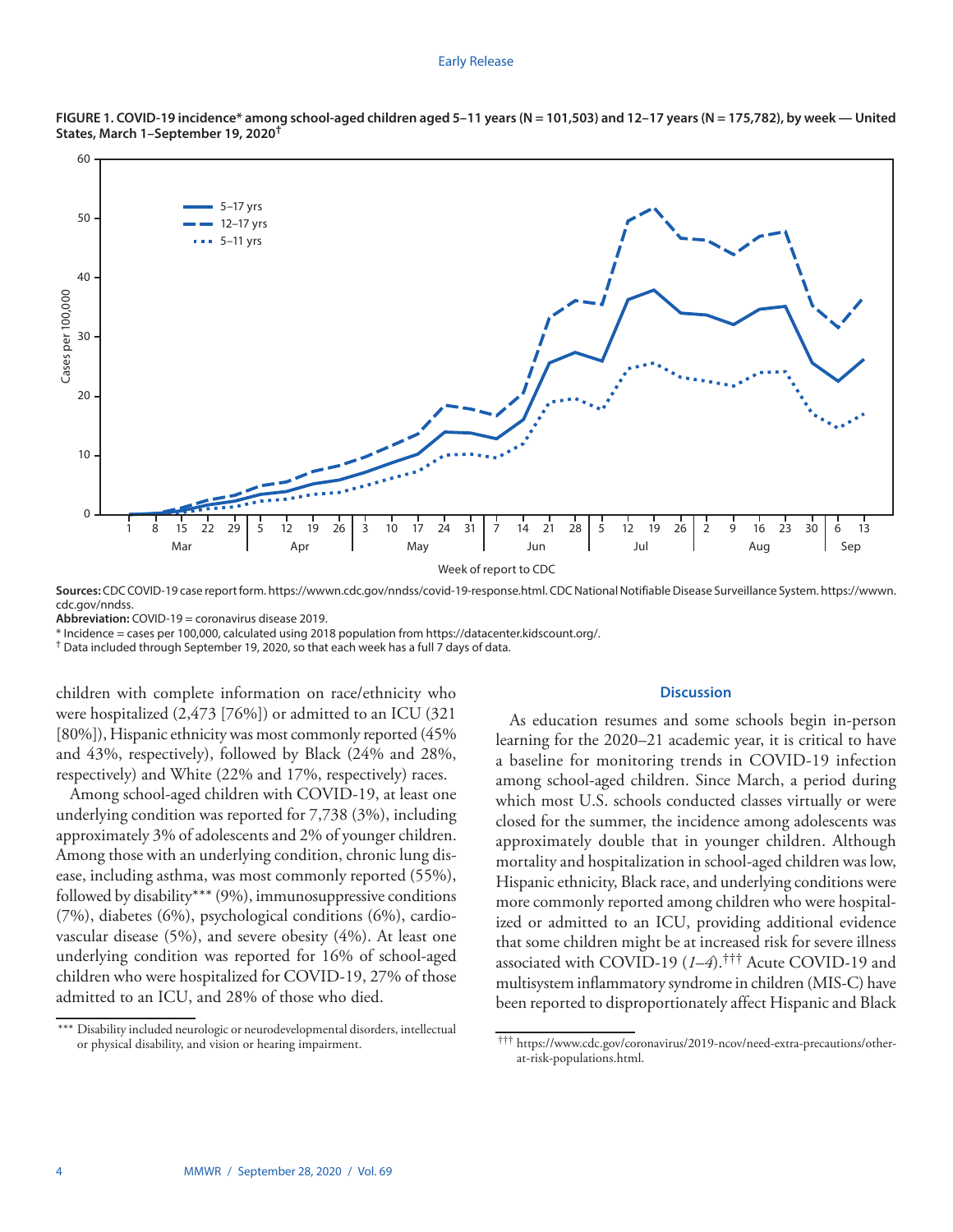#### Early Release



FIGURE 1. COVID-19 incidence\* among school-aged children aged 5-11 years (N = 101,503) and 12-17 years (N = 175,782), by week — United **States, March 1–September 19, 2020†**

**Sources:** CDC COVID-19 case report form. <https://wwwn.cdc.gov/nndss/covid-19-response.html>. CDC National Notifiable Disease Surveillance System. [https://wwwn.](https://wwwn.cdc.gov/nndss) [cdc.gov/nndss](https://wwwn.cdc.gov/nndss).

**Abbreviation:** COVID-19 = coronavirus disease 2019.

\* Incidence = cases per 100,000, calculated using 2018 population from [https://datacenter.kidscount.org/](https://datacenter.kidscount.org).

† Data included through September 19, 2020, so that each week has a full 7 days of data.

children with complete information on race/ethnicity who were hospitalized (2,473 [76%]) or admitted to an ICU (321 [80%]), Hispanic ethnicity was most commonly reported (45% and 43%, respectively), followed by Black (24% and 28%, respectively) and White (22% and 17%, respectively) races.

Among school-aged children with COVID-19, at least one underlying condition was reported for 7,738 (3%), including approximately 3% of adolescents and 2% of younger children. Among those with an underlying condition, chronic lung disease, including asthma, was most commonly reported (55%), followed by disability\*\*\* (9%), immunosuppressive conditions (7%), diabetes (6%), psychological conditions (6%), cardiovascular disease (5%), and severe obesity (4%). At least one underlying condition was reported for 16% of school-aged children who were hospitalized for COVID-19, 27% of those admitted to an ICU, and 28% of those who died.

## **Discussion**

As education resumes and some schools begin in-person learning for the 2020–21 academic year, it is critical to have a baseline for monitoring trends in COVID-19 infection among school-aged children. Since March, a period during which most U.S. schools conducted classes virtually or were closed for the summer, the incidence among adolescents was approximately double that in younger children. Although mortality and hospitalization in school-aged children was low, Hispanic ethnicity, Black race, and underlying conditions were more commonly reported among children who were hospitalized or admitted to an ICU, providing additional evidence that some children might be at increased risk for severe illness associated with COVID-19 (*1*–*4*).††† Acute COVID-19 and multisystem inflammatory syndrome in children (MIS-C) have been reported to disproportionately affect Hispanic and Black

<sup>\*\*\*</sup> Disability included neurologic or neurodevelopmental disorders, intellectual or physical disability, and vision or hearing impairment.

<sup>†††</sup> [https://www.cdc.gov/coronavirus/2019-ncov/need-extra-precautions/other](https://www.cdc.gov/coronavirus/2019-ncov/need-extra-precautions/other-at-risk-populations.html)[at-risk-populations.html](https://www.cdc.gov/coronavirus/2019-ncov/need-extra-precautions/other-at-risk-populations.html).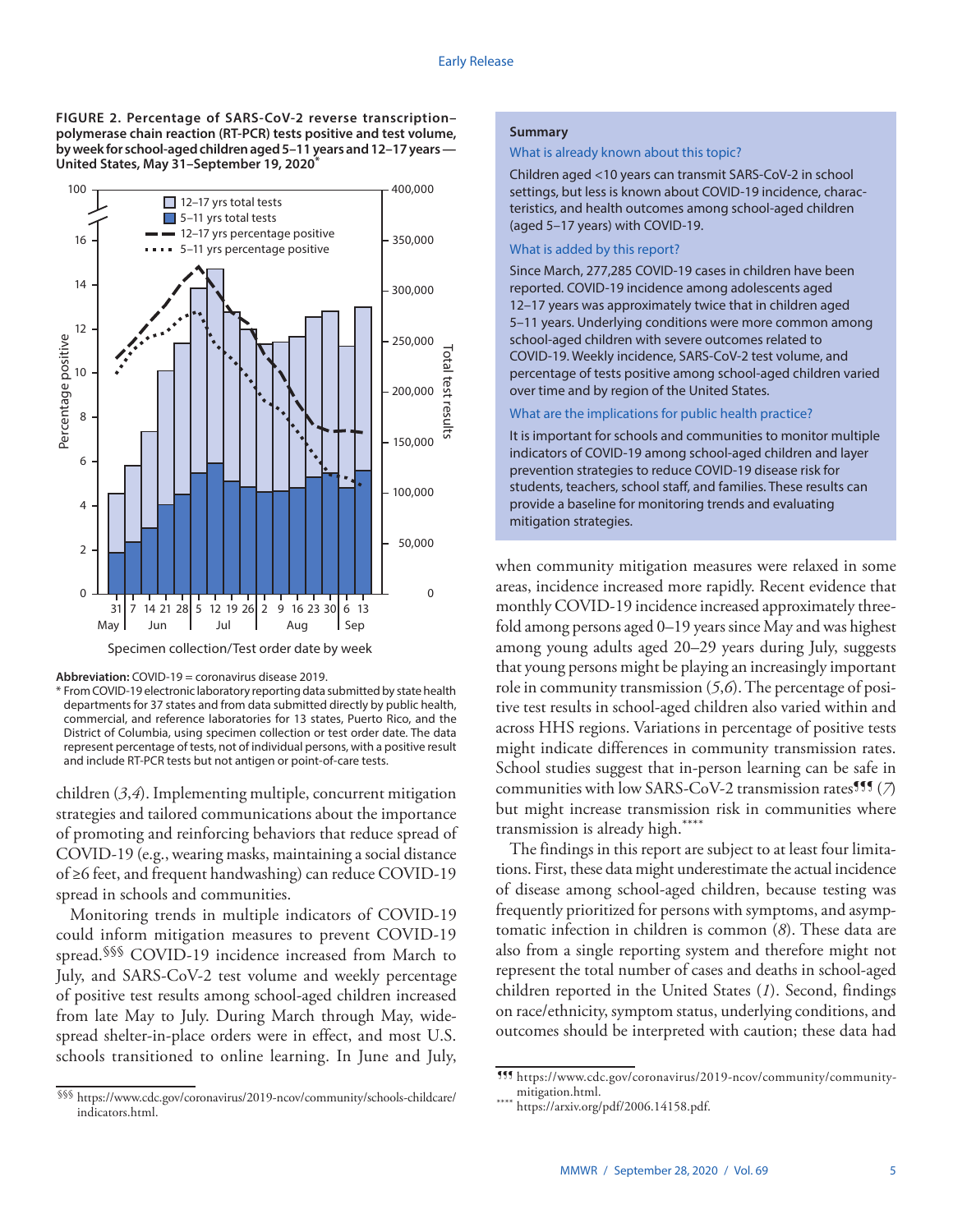**FIGURE 2. Percentage of SARS-CoV-2 reverse transcription– polymerase chain reaction (RT-PCR) tests positive and test volume, by week for school-aged children aged 5–11 years and 12–17 years — United States, May 31–September 19, 2020\***



Specimen collection/Test order date by week



\* From COVID-19 electronic laboratory reporting data submitted by state health departments for 37 states and from data submitted directly by public health, commercial, and reference laboratories for 13 states, Puerto Rico, and the District of Columbia, using specimen collection or test order date. The data represent percentage of tests, not of individual persons, with a positive result and include RT-PCR tests but not antigen or point-of-care tests.

children (*3*,*4*). Implementing multiple, concurrent mitigation strategies and tailored communications about the importance of promoting and reinforcing behaviors that reduce spread of COVID-19 (e.g., wearing masks, maintaining a social distance of ≥6 feet, and frequent handwashing) can reduce COVID-19 spread in schools and communities.

Monitoring trends in multiple indicators of COVID-19 could inform mitigation measures to prevent COVID-19 spread.<sup>§§§</sup> COVID-19 incidence increased from March to July, and SARS-CoV-2 test volume and weekly percentage of positive test results among school-aged children increased from late May to July. During March through May, widespread shelter-in-place orders were in effect, and most U.S. schools transitioned to online learning. In June and July,

## **Summary**

### What is already known about this topic?

Children aged <10 years can transmit SARS-CoV-2 in school settings, but less is known about COVID-19 incidence, characteristics, and health outcomes among school-aged children (aged 5–17 years) with COVID-19.

## What is added by this report?

Since March, 277,285 COVID-19 cases in children have been reported. COVID-19 incidence among adolescents aged 12–17 years was approximately twice that in children aged 5–11 years. Underlying conditions were more common among school-aged children with severe outcomes related to COVID-19. Weekly incidence, SARS-CoV-2 test volume, and percentage of tests positive among school-aged children varied over time and by region of the United States.

## What are the implications for public health practice?

It is important for schools and communities to monitor multiple indicators of COVID-19 among school-aged children and layer prevention strategies to reduce COVID-19 disease risk for students, teachers, school staff, and families. These results can provide a baseline for monitoring trends and evaluating mitigation strategies.

when community mitigation measures were relaxed in some areas, incidence increased more rapidly. Recent evidence that monthly COVID-19 incidence increased approximately threefold among persons aged 0–19 years since May and was highest among young adults aged 20–29 years during July, suggests that young persons might be playing an increasingly important role in community transmission (*5*,*6*). The percentage of positive test results in school-aged children also varied within and across HHS regions. Variations in percentage of positive tests might indicate differences in community transmission rates. School studies suggest that in-person learning can be safe in communities with low SARS-CoV-2 transmission rates<sup>111</sup> $(7)$ but might increase transmission risk in communities where transmission is already high.\*\*\*\*

The findings in this report are subject to at least four limitations. First, these data might underestimate the actual incidence of disease among school-aged children, because testing was frequently prioritized for persons with symptoms, and asymptomatic infection in children is common (*8*). These data are also from a single reporting system and therefore might not represent the total number of cases and deaths in school-aged children reported in the United States (*1*). Second, findings on race/ethnicity, symptom status, underlying conditions, and outcomes should be interpreted with caution; these data had

<sup>§§§</sup> [https://www.cdc.gov/coronavirus/2019-ncov/community/schools-childcare/](https://www.cdc.gov/coronavirus/2019-ncov/community/schools-childcare/indicators.html) [indicators.html.](https://www.cdc.gov/coronavirus/2019-ncov/community/schools-childcare/indicators.html)

<sup>¶¶¶</sup> [https://www.cdc.gov/coronavirus/2019-ncov/community/community-](https://www.cdc.gov/coronavirus/2019-ncov/community/community-mitigation.html)

<sup>\*\*\*\*</sup> [https://arxiv.org/pdf/2006.14158.pdf.](https://arxiv.org/pdf/2006.14158.pdf)